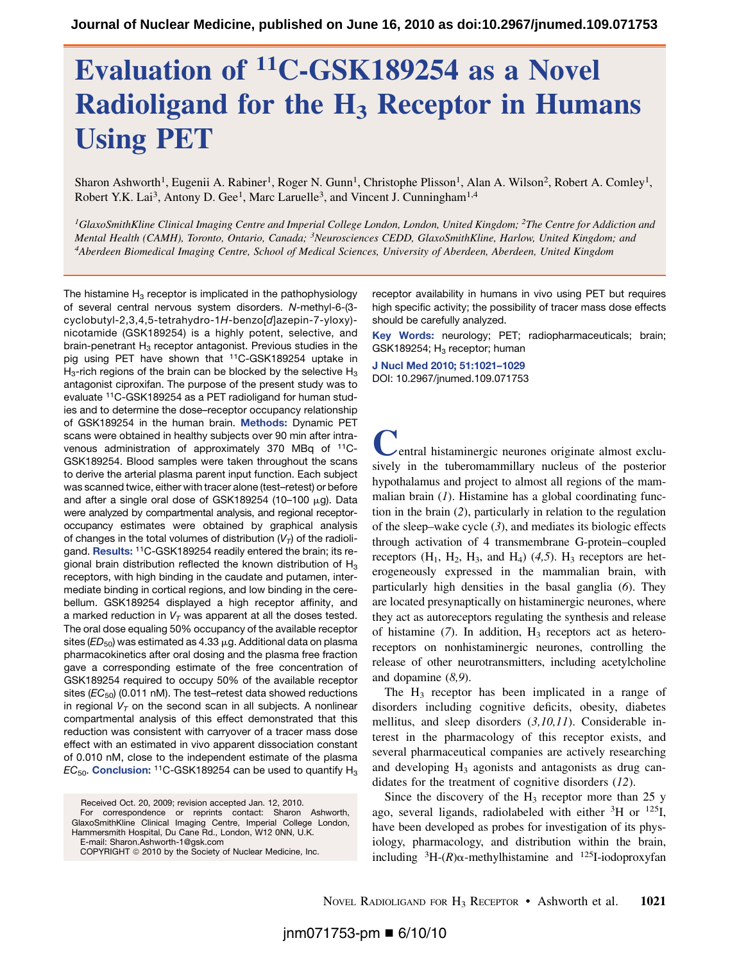# Evaluation of 11C-GSK189254 as a Novel Radioligand for the  $H_3$  Receptor in Humans Using PET

Sharon Ashworth<sup>1</sup>, Eugenii A. Rabiner<sup>1</sup>, Roger N. Gunn<sup>1</sup>, Christophe Plisson<sup>1</sup>, Alan A. Wilson<sup>2</sup>, Robert A. Comley<sup>1</sup>, Robert Y.K. Lai<sup>3</sup>, Antony D. Gee<sup>1</sup>, Marc Laruelle<sup>3</sup>, and Vincent J. Cunningham<sup>1,4</sup>

<sup>1</sup>GlaxoSmithKline Clinical Imaging Centre and Imperial College London, London, United Kingdom; <sup>2</sup>The Centre for Addiction and Mental Health (CAMH), Toronto, Ontario, Canada; 3Neurosciences CEDD, GlaxoSmithKline, Harlow, United Kingdom; and 4Aberdeen Biomedical Imaging Centre, School of Medical Sciences, University of Aberdeen, Aberdeen, United Kingdom

The histamine  $H_3$  receptor is implicated in the pathophysiology of several central nervous system disorders. *N*-methyl-6-(3 cyclobutyl-2,3,4,5-tetrahydro-1*H*-benzo[*d*]azepin-7-yloxy) nicotamide (GSK189254) is a highly potent, selective, and brain-penetrant  $H_3$  receptor antagonist. Previous studies in the pig using PET have shown that <sup>11</sup>C-GSK189254 uptake in  $H_3$ -rich regions of the brain can be blocked by the selective  $H_3$ antagonist ciproxifan. The purpose of the present study was to evaluate 11C-GSK189254 as a PET radioligand for human studies and to determine the dose–receptor occupancy relationship of GSK189254 in the human brain. Methods: Dynamic PET scans were obtained in healthy subjects over 90 min after intravenous administration of approximately 370 MBq of <sup>11</sup>C-GSK189254. Blood samples were taken throughout the scans to derive the arterial plasma parent input function. Each subject was scanned twice, either with tracer alone (test–retest) or before and after a single oral dose of GSK189254 (10-100  $\mu$ g). Data were analyzed by compartmental analysis, and regional receptoroccupancy estimates were obtained by graphical analysis of changes in the total volumes of distribution  $(V_T)$  of the radioligand. Results: 11C-GSK189254 readily entered the brain; its regional brain distribution reflected the known distribution of  $H_3$ receptors, with high binding in the caudate and putamen, intermediate binding in cortical regions, and low binding in the cerebellum. GSK189254 displayed a high receptor affinity, and a marked reduction in  $V<sub>T</sub>$  was apparent at all the doses tested. The oral dose equaling 50% occupancy of the available receptor sites ( $ED_{50}$ ) was estimated as 4.33  $\mu$ g. Additional data on plasma pharmacokinetics after oral dosing and the plasma free fraction gave a corresponding estimate of the free concentration of GSK189254 required to occupy 50% of the available receptor sites (*EC<sub>50</sub>*) (0.011 nM). The test–retest data showed reductions in regional  $V<sub>T</sub>$  on the second scan in all subjects. A nonlinear compartmental analysis of this effect demonstrated that this reduction was consistent with carryover of a tracer mass dose effect with an estimated in vivo apparent dissociation constant of 0.010 nM, close to the independent estimate of the plasma *EC*<sub>50</sub>. **Conclusion:** <sup>11</sup>C-GSK189254 can be used to quantify H<sub>3</sub>

Received Oct. 20, 2009; revision accepted Jan. 12, 2010. For correspondence or reprints contact: Sharon Ashworth,

GlaxoSmithKline Clinical Imaging Centre, Imperial College London, Hammersmith Hospital, Du Cane Rd., London, W12 0NN, U.K. E-mail: Sharon.Ashworth-1@gsk.com

receptor availability in humans in vivo using PET but requires high specific activity; the possibility of tracer mass dose effects should be carefully analyzed.

Key Words: neurology; PET; radiopharmaceuticals; brain; GSK189254;  $H_3$  receptor; human

J Nucl Med 2010; 51:1021–1029 DOI: 10.2967/jnumed.109.071753

 $\epsilon$ entral histaminergic neurones originate almost exclusively in the tuberomammillary nucleus of the posterior hypothalamus and project to almost all regions of the mammalian brain  $(1)$ . Histamine has a global coordinating function in the brain (2), particularly in relation to the regulation of the sleep–wake cycle  $(3)$ , and mediates its biologic effects through activation of 4 transmembrane G-protein–coupled receptors  $(H_1, H_2, H_3,$  and  $H_4$ )  $(4,5)$ .  $H_3$  receptors are heterogeneously expressed in the mammalian brain, with particularly high densities in the basal ganglia (6). They are located presynaptically on histaminergic neurones, where they act as autoreceptors regulating the synthesis and release of histamine  $(7)$ . In addition,  $H_3$  receptors act as heteroreceptors on nonhistaminergic neurones, controlling the release of other neurotransmitters, including acetylcholine and dopamine (8,9).

The  $H_3$  receptor has been implicated in a range of disorders including cognitive deficits, obesity, diabetes mellitus, and sleep disorders (3,10,11). Considerable interest in the pharmacology of this receptor exists, and several pharmaceutical companies are actively researching and developing  $H_3$  agonists and antagonists as drug candidates for the treatment of cognitive disorders (12).

Since the discovery of the  $H_3$  receptor more than 25 y ago, several ligands, radiolabeled with either 3H or 125I, have been developed as probes for investigation of its physiology, pharmacology, and distribution within the brain, including  ${}^{3}H-(R)\alpha$ -methylhistamine and  ${}^{125}I$ -iodoproxyfan

COPYRIGHT @ 2010 by the Society of Nuclear Medicine, Inc.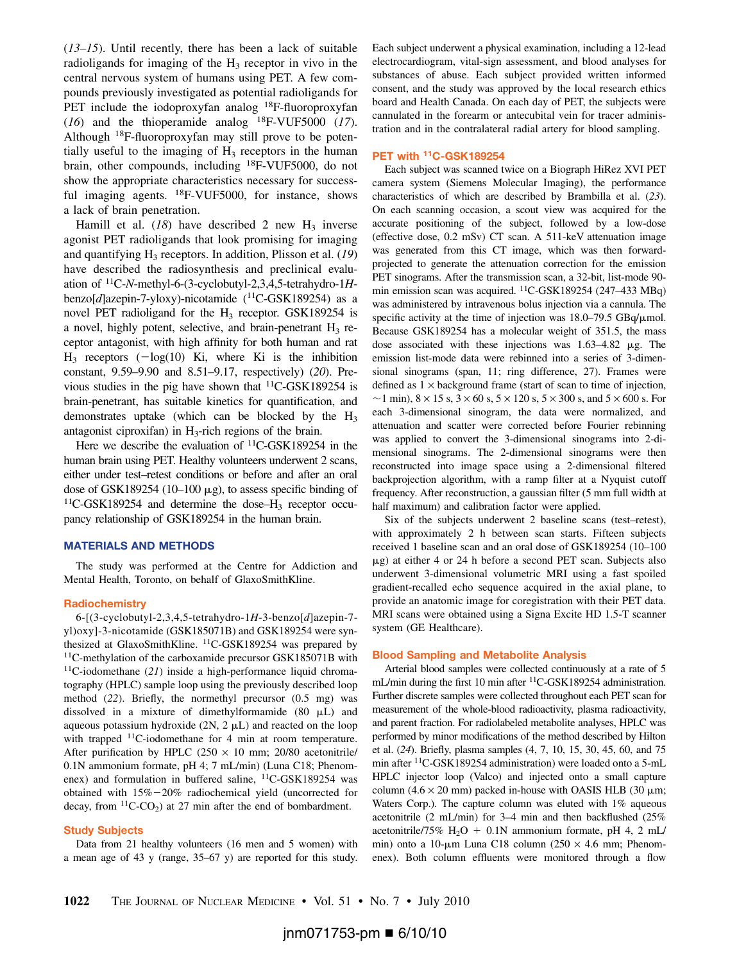$(13-15)$ . Until recently, there has been a lack of suitable radioligands for imaging of the  $H_3$  receptor in vivo in the central nervous system of humans using PET. A few compounds previously investigated as potential radioligands for PET include the iodoproxyfan analog <sup>18</sup>F-fluoroproxyfan (16) and the thioperamide analog  $^{18}$ F-VUF5000 (17). Although 18F-fluoroproxyfan may still prove to be potentially useful to the imaging of  $H_3$  receptors in the human brain, other compounds, including 18F-VUF5000, do not show the appropriate characteristics necessary for successful imaging agents.  $^{18}$ F-VUF5000, for instance, shows a lack of brain penetration.

Hamill et al.  $(18)$  have described 2 new H<sub>3</sub> inverse agonist PET radioligands that look promising for imaging and quantifying  $H_3$  receptors. In addition, Plisson et al. (19) have described the radiosynthesis and preclinical evaluation of 11C-N-methyl-6-(3-cyclobutyl-2,3,4,5-tetrahydro-1Hbenzo $[d]$ azepin-7-yloxy)-nicotamide (<sup>11</sup>C-GSK189254) as a novel PET radioligand for the  $H_3$  receptor. GSK189254 is a novel, highly potent, selective, and brain-penetrant  $H_3$  receptor antagonist, with high affinity for both human and rat  $H_3$  receptors ( $-\log(10)$  Ki, where Ki is the inhibition constant, 9.59–9.90 and 8.51–9.17, respectively) (20). Previous studies in the pig have shown that  ${}^{11}$ C-GSK189254 is brain-penetrant, has suitable kinetics for quantification, and demonstrates uptake (which can be blocked by the  $H_3$ antagonist ciproxifan) in  $H_3$ -rich regions of the brain.

Here we describe the evaluation of <sup>11</sup>C-GSK189254 in the human brain using PET. Healthy volunteers underwent 2 scans, either under test–retest conditions or before and after an oral dose of GSK189254 (10–100  $\mu$ g), to assess specific binding of  $11C-GSK189254$  and determine the dose-H<sub>3</sub> receptor occupancy relationship of GSK189254 in the human brain.

## MATERIALS AND METHODS

The study was performed at the Centre for Addiction and Mental Health, Toronto, on behalf of GlaxoSmithKline.

#### **Radiochemistry**

6-[(3-cyclobutyl-2,3,4,5-tetrahydro-1H-3-benzo[d]azepin-7 yl)oxy]-3-nicotamide (GSK185071B) and GSK189254 were synthesized at GlaxoSmithKline. 11C-GSK189254 was prepared by 11C-methylation of the carboxamide precursor GSK185071B with  $11C$ -iodomethane (21) inside a high-performance liquid chromatography (HPLC) sample loop using the previously described loop method (22). Briefly, the normethyl precursor (0.5 mg) was dissolved in a mixture of dimethylformamide  $(80 \mu L)$  and aqueous potassium hydroxide  $(2N, 2 \mu L)$  and reacted on the loop with trapped <sup>11</sup>C-iodomethane for 4 min at room temperature. After purification by HPLC (250  $\times$  10 mm; 20/80 acetonitrile/ 0.1N ammonium formate, pH 4; 7 mL/min) (Luna C18; Phenomenex) and formulation in buffered saline,  $^{11}$ C-GSK189254 was obtained with  $15\% - 20\%$  radiochemical yield (uncorrected for decay, from  ${}^{11}C-CO_2$ ) at 27 min after the end of bombardment.

#### Study Subjects

Data from 21 healthy volunteers (16 men and 5 women) with a mean age of 43 y (range, 35–67 y) are reported for this study. Each subject underwent a physical examination, including a 12-lead electrocardiogram, vital-sign assessment, and blood analyses for substances of abuse. Each subject provided written informed consent, and the study was approved by the local research ethics board and Health Canada. On each day of PET, the subjects were cannulated in the forearm or antecubital vein for tracer administration and in the contralateral radial artery for blood sampling.

#### PET with <sup>11</sup>C-GSK189254

Each subject was scanned twice on a Biograph HiRez XVI PET camera system (Siemens Molecular Imaging), the performance characteristics of which are described by Brambilla et al. (23). On each scanning occasion, a scout view was acquired for the accurate positioning of the subject, followed by a low-dose (effective dose, 0.2 mSv) CT scan. A 511-keV attenuation image was generated from this CT image, which was then forwardprojected to generate the attenuation correction for the emission PET sinograms. After the transmission scan, a 32-bit, list-mode 90 min emission scan was acquired.  ${}^{11}$ C-GSK189254 (247–433 MBq) was administered by intravenous bolus injection via a cannula. The specific activity at the time of injection was  $18.0-79.5$  GBq/ $\mu$ mol. Because GSK189254 has a molecular weight of 351.5, the mass dose associated with these injections was  $1.63-4.82$   $\mu$ g. The emission list-mode data were rebinned into a series of 3-dimensional sinograms (span, 11; ring difference, 27). Frames were defined as  $1 \times$  background frame (start of scan to time of injection,  $\sim$ 1 min), 8 × 15 s, 3 × 60 s, 5 × 120 s, 5 × 300 s, and 5 × 600 s. For each 3-dimensional sinogram, the data were normalized, and attenuation and scatter were corrected before Fourier rebinning was applied to convert the 3-dimensional sinograms into 2-dimensional sinograms. The 2-dimensional sinograms were then reconstructed into image space using a 2-dimensional filtered backprojection algorithm, with a ramp filter at a Nyquist cutoff frequency. After reconstruction, a gaussian filter (5 mm full width at half maximum) and calibration factor were applied.

Six of the subjects underwent 2 baseline scans (test–retest), with approximately 2 h between scan starts. Fifteen subjects received 1 baseline scan and an oral dose of GSK189254 (10–100  $\mu$ g) at either 4 or 24 h before a second PET scan. Subjects also underwent 3-dimensional volumetric MRI using a fast spoiled gradient-recalled echo sequence acquired in the axial plane, to provide an anatomic image for coregistration with their PET data. MRI scans were obtained using a Signa Excite HD 1.5-T scanner system (GE Healthcare).

# Blood Sampling and Metabolite Analysis

Arterial blood samples were collected continuously at a rate of 5 mL/min during the first 10 min after <sup>11</sup>C-GSK189254 administration. Further discrete samples were collected throughout each PET scan for measurement of the whole-blood radioactivity, plasma radioactivity, and parent fraction. For radiolabeled metabolite analyses, HPLC was performed by minor modifications of the method described by Hilton et al. (24). Briefly, plasma samples (4, 7, 10, 15, 30, 45, 60, and 75 min after <sup>11</sup>C-GSK189254 administration) were loaded onto a 5-mL HPLC injector loop (Valco) and injected onto a small capture column (4.6  $\times$  20 mm) packed in-house with OASIS HLB (30  $\mu$ m; Waters Corp.). The capture column was eluted with 1% aqueous acetonitrile (2 mL/min) for 3–4 min and then backflushed (25% acetonitrile/75%  $H_2O + 0.1N$  ammonium formate, pH 4, 2 mL/ min) onto a 10-µm Luna C18 column (250  $\times$  4.6 mm; Phenomenex). Both column effluents were monitored through a flow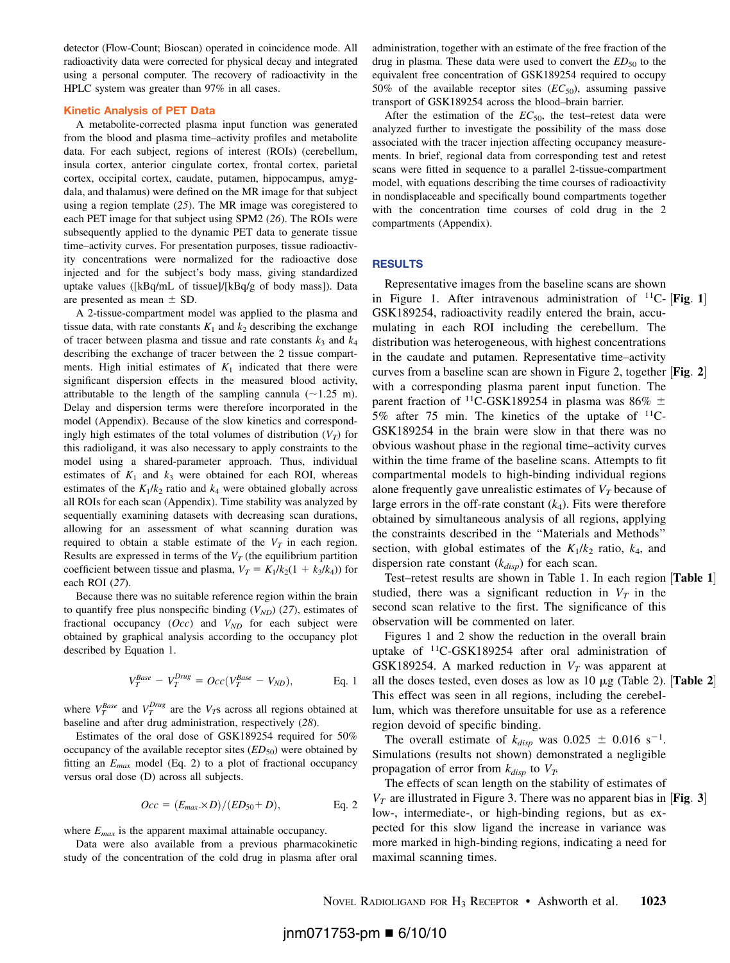detector (Flow-Count; Bioscan) operated in coincidence mode. All radioactivity data were corrected for physical decay and integrated using a personal computer. The recovery of radioactivity in the HPLC system was greater than 97% in all cases.

#### Kinetic Analysis of PET Data

A metabolite-corrected plasma input function was generated from the blood and plasma time–activity profiles and metabolite data. For each subject, regions of interest (ROIs) (cerebellum, insula cortex, anterior cingulate cortex, frontal cortex, parietal cortex, occipital cortex, caudate, putamen, hippocampus, amygdala, and thalamus) were defined on the MR image for that subject using a region template (25). The MR image was coregistered to each PET image for that subject using SPM2 (26). The ROIs were subsequently applied to the dynamic PET data to generate tissue time–activity curves. For presentation purposes, tissue radioactivity concentrations were normalized for the radioactive dose injected and for the subject's body mass, giving standardized uptake values ([kBq/mL of tissue]/[kBq/g of body mass]). Data are presented as mean  $\pm$  SD.

A 2-tissue-compartment model was applied to the plasma and tissue data, with rate constants  $K_1$  and  $k_2$  describing the exchange of tracer between plasma and tissue and rate constants  $k_3$  and  $k_4$ describing the exchange of tracer between the 2 tissue compartments. High initial estimates of  $K_1$  indicated that there were significant dispersion effects in the measured blood activity, attributable to the length of the sampling cannula  $(\sim 1.25 \text{ m})$ . Delay and dispersion terms were therefore incorporated in the model (Appendix). Because of the slow kinetics and correspondingly high estimates of the total volumes of distribution  $(V_T)$  for this radioligand, it was also necessary to apply constraints to the model using a shared-parameter approach. Thus, individual estimates of  $K_1$  and  $k_3$  were obtained for each ROI, whereas estimates of the  $K_1/k_2$  ratio and  $k_4$  were obtained globally across all ROIs for each scan (Appendix). Time stability was analyzed by sequentially examining datasets with decreasing scan durations, allowing for an assessment of what scanning duration was required to obtain a stable estimate of the  $V_T$  in each region. Results are expressed in terms of the  $V_T$  (the equilibrium partition coefficient between tissue and plasma,  $V_T = K_1/k_2(1 + k_3/k_4)$  for each ROI (27).

Because there was no suitable reference region within the brain to quantify free plus nonspecific binding  $(V_{ND})$  (27), estimates of fractional occupancy  $(Occ)$  and  $V_{ND}$  for each subject were obtained by graphical analysis according to the occupancy plot described by Equation 1.

$$
V_T^{Base} - V_T^{Drug} = Occ(V_T^{Base} - V_{ND}), \tEq. 1
$$

where  $V_T^{Base}$  and  $V_T^{Drug}$  are the  $V_T$ s across all regions obtained at baseline and after drug administration, respectively (28).

Estimates of the oral dose of GSK189254 required for 50% occupancy of the available receptor sites  $(ED_{50})$  were obtained by fitting an  $E_{max}$  model (Eq. 2) to a plot of fractional occupancy versus oral dose (D) across all subjects.

$$
Occ = (E_{max}.\times D)/(ED_{50}+D),
$$
 Eq. 2

where  $E_{max}$  is the apparent maximal attainable occupancy.

Data were also available from a previous pharmacokinetic study of the concentration of the cold drug in plasma after oral

administration, together with an estimate of the free fraction of the drug in plasma. These data were used to convert the  $ED_{50}$  to the equivalent free concentration of GSK189254 required to occupy 50% of the available receptor sites  $(EC_{50})$ , assuming passive transport of GSK189254 across the blood–brain barrier.

After the estimation of the  $EC_{50}$ , the test–retest data were analyzed further to investigate the possibility of the mass dose associated with the tracer injection affecting occupancy measurements. In brief, regional data from corresponding test and retest scans were fitted in sequence to a parallel 2-tissue-compartment model, with equations describing the time courses of radioactivity in nondisplaceable and specifically bound compartments together with the concentration time courses of cold drug in the 2 compartments (Appendix).

## RESULTS

Representative images from the baseline scans are shown in Figure 1. After intravenous administration of  $^{11}C$ - [Fig. 1] GSK189254, radioactivity readily entered the brain, accumulating in each ROI including the cerebellum. The distribution was heterogeneous, with highest concentrations in the caudate and putamen. Representative time–activity curves from a baseline scan are shown in Figure 2, together  $[Fig. 2]$ with a corresponding plasma parent input function. The parent fraction of <sup>11</sup>C-GSK189254 in plasma was 86%  $\pm$ 5% after 75 min. The kinetics of the uptake of  $^{11}$ C-GSK189254 in the brain were slow in that there was no obvious washout phase in the regional time–activity curves within the time frame of the baseline scans. Attempts to fit compartmental models to high-binding individual regions alone frequently gave unrealistic estimates of  $V<sub>T</sub>$  because of large errors in the off-rate constant  $(k_4)$ . Fits were therefore obtained by simultaneous analysis of all regions, applying the constraints described in the ''Materials and Methods'' section, with global estimates of the  $K_1/k_2$  ratio,  $k_4$ , and dispersion rate constant  $(k_{disp})$  for each scan.

Test–retest results are shown in Table 1. In each region  $[Table 1]$ studied, there was a significant reduction in  $V_T$  in the second scan relative to the first. The significance of this observation will be commented on later.

Figures 1 and 2 show the reduction in the overall brain uptake of  $^{11}$ C-GSK189254 after oral administration of GSK189254. A marked reduction in  $V_T$  was apparent at all the doses tested, even doses as low as 10  $\mu$ g (Table 2). [Table 2] This effect was seen in all regions, including the cerebellum, which was therefore unsuitable for use as a reference region devoid of specific binding.

The overall estimate of  $k_{disp}$  was 0.025  $\pm$  0.016 s<sup>-1</sup>. Simulations (results not shown) demonstrated a negligible propagation of error from  $k_{disp}$  to  $V_T$ .

The effects of scan length on the stability of estimates of  $V_T$  are illustrated in Figure 3. There was no apparent bias in [Fig. 3] low-, intermediate-, or high-binding regions, but as expected for this slow ligand the increase in variance was more marked in high-binding regions, indicating a need for maximal scanning times.

 $jmm071753$ -pm ■ 6/10/10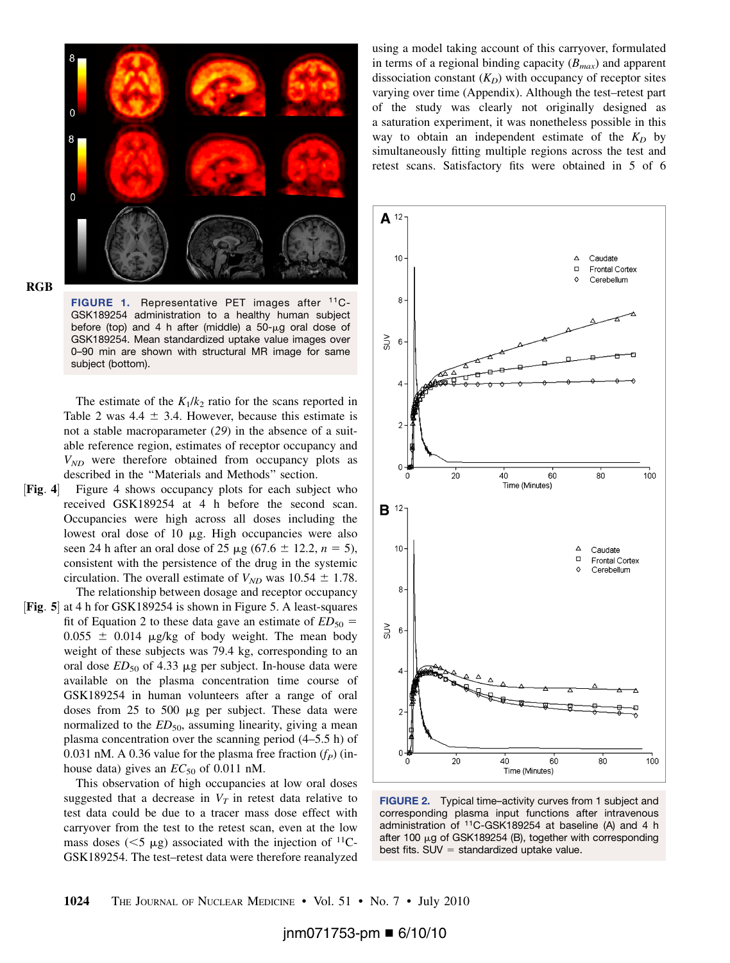

RGB

FIGURE 1. Representative PET images after <sup>11</sup>C-GSK189254 administration to a healthy human subject before (top) and 4 h after (middle) a  $50-\mu g$  oral dose of GSK189254. Mean standardized uptake value images over 0–90 min are shown with structural MR image for same subject (bottom).

The estimate of the  $K_1/k_2$  ratio for the scans reported in Table 2 was  $4.4 \pm 3.4$ . However, because this estimate is not a stable macroparameter (29) in the absence of a suitable reference region, estimates of receptor occupancy and  $V_{ND}$  were therefore obtained from occupancy plots as described in the ''Materials and Methods'' section.

- $[Fig. 4]$  Figure 4 shows occupancy plots for each subject who received GSK189254 at 4 h before the second scan. Occupancies were high across all doses including the lowest oral dose of  $10 \mu$ g. High occupancies were also seen 24 h after an oral dose of 25  $\mu$ g (67.6  $\pm$  12.2, n = 5), consistent with the persistence of the drug in the systemic circulation. The overall estimate of  $V_{ND}$  was 10.54  $\pm$  1.78.
- The relationship between dosage and receptor occupancy [Fig. 5] at 4 h for GSK189254 is shown in Figure 5. A least-squares fit of Equation 2 to these data gave an estimate of  $ED_{50}$  =  $0.055 \pm 0.014$  µg/kg of body weight. The mean body weight of these subjects was 79.4 kg, corresponding to an oral dose  $ED_{50}$  of 4.33 µg per subject. In-house data were available on the plasma concentration time course of GSK189254 in human volunteers after a range of oral doses from  $25$  to  $500 \mu g$  per subject. These data were normalized to the  $ED_{50}$ , assuming linearity, giving a mean plasma concentration over the scanning period (4–5.5 h) of 0.031 nM. A 0.36 value for the plasma free fraction  $(f_P)$  (inhouse data) gives an  $EC_{50}$  of 0.011 nM.

This observation of high occupancies at low oral doses suggested that a decrease in  $V_T$  in retest data relative to test data could be due to a tracer mass dose effect with carryover from the test to the retest scan, even at the low mass doses ( $\leq$ 5  $\mu$ g) associated with the injection of <sup>11</sup>C-GSK189254. The test–retest data were therefore reanalyzed using a model taking account of this carryover, formulated in terms of a regional binding capacity  $(B_{max})$  and apparent dissociation constant  $(K_D)$  with occupancy of receptor sites varying over time (Appendix). Although the test–retest part of the study was clearly not originally designed as a saturation experiment, it was nonetheless possible in this way to obtain an independent estimate of the  $K_D$  by simultaneously fitting multiple regions across the test and retest scans. Satisfactory fits were obtained in 5 of 6



FIGURE 2. Typical time–activity curves from 1 subject and corresponding plasma input functions after intravenous administration of 11C-GSK189254 at baseline (A) and 4 h after 100  $\mu$ g of GSK189254 (B), together with corresponding best fits.  $SUV =$  standardized uptake value.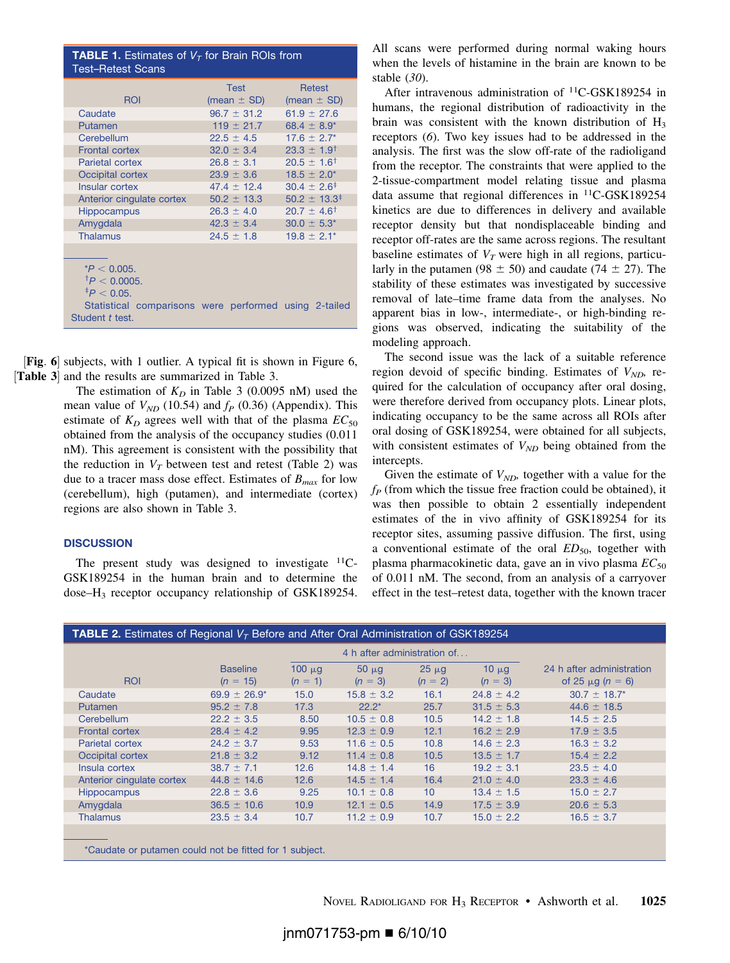| <b>TABLE 1.</b> Estimates of $VT$ for Brain ROIs from<br><b>Test-Retest Scans</b> |                 |                             |  |  |  |  |  |
|-----------------------------------------------------------------------------------|-----------------|-----------------------------|--|--|--|--|--|
|                                                                                   | <b>Test</b>     | <b>Retest</b>               |  |  |  |  |  |
| <b>ROI</b>                                                                        | (mean $\pm$ SD) | (mean $\pm$ SD)             |  |  |  |  |  |
| Caudate                                                                           | $96.7 \pm 31.2$ | $61.9 \pm 27.6$             |  |  |  |  |  |
| Putamen                                                                           | $119 \pm 21.7$  | 68.4 $\pm$ 8.9 <sup>*</sup> |  |  |  |  |  |
| Cerebellum                                                                        | $22.5 \pm 4.5$  | $17.6 + 2.7^*$              |  |  |  |  |  |
| <b>Frontal cortex</b>                                                             | $32.0 \pm 3.4$  | $23.3 \pm 1.9^{\dagger}$    |  |  |  |  |  |
| Parietal cortex                                                                   | $26.8 \pm 3.1$  | $20.5 \pm 1.6^{\dagger}$    |  |  |  |  |  |
| Occipital cortex                                                                  | $23.9 \pm 3.6$  | $18.5 \pm 2.0^*$            |  |  |  |  |  |
| Insular cortex                                                                    | $47.4 \pm 12.4$ | $30.4 \pm 2.6^{\ddagger}$   |  |  |  |  |  |
| Anterior cingulate cortex                                                         | $50.2 \pm 13.3$ | $50.2 \pm 13.3^{\ddagger}$  |  |  |  |  |  |
| <b>Hippocampus</b>                                                                | $26.3 \pm 4.0$  | $20.7 \pm 4.6^{\dagger}$    |  |  |  |  |  |
| Amygdala                                                                          | $42.3 + 3.4$    | $30.0 \pm 5.3^*$            |  |  |  |  |  |
| Thalamus                                                                          | $24.5 + 1.8$    | $19.8 \pm 2.1^*$            |  |  |  |  |  |
| $*P < 0.005$ .<br>$^{\dagger}P < 0.0005$ .<br>$^{\ddagger}P < 0.05$ .             |                 |                             |  |  |  |  |  |
| Statistical comparisons were performed using 2-tailed<br>Student t test.          |                 |                             |  |  |  |  |  |

[Fig. 6] subjects, with 1 outlier. A typical fit is shown in Figure 6, [Table 3] and the results are summarized in Table 3.

> The estimation of  $K_D$  in Table 3 (0.0095 nM) used the mean value of  $V_{ND}$  (10.54) and  $f_P$  (0.36) (Appendix). This estimate of  $K_D$  agrees well with that of the plasma  $EC_{50}$ obtained from the analysis of the occupancy studies (0.011 nM). This agreement is consistent with the possibility that the reduction in  $V_T$  between test and retest (Table 2) was due to a tracer mass dose effect. Estimates of  $B_{max}$  for low (cerebellum), high (putamen), and intermediate (cortex) regions are also shown in Table 3.

## **DISCUSSION**

The present study was designed to investigate  $^{11}$ C-GSK189254 in the human brain and to determine the dose–H3 receptor occupancy relationship of GSK189254. All scans were performed during normal waking hours when the levels of histamine in the brain are known to be stable (30).

After intravenous administration of <sup>11</sup>C-GSK189254 in humans, the regional distribution of radioactivity in the brain was consistent with the known distribution of  $H_3$ receptors (6). Two key issues had to be addressed in the analysis. The first was the slow off-rate of the radioligand from the receptor. The constraints that were applied to the 2-tissue-compartment model relating tissue and plasma data assume that regional differences in  $^{11}$ C-GSK189254 kinetics are due to differences in delivery and available receptor density but that nondisplaceable binding and receptor off-rates are the same across regions. The resultant baseline estimates of  $V_T$  were high in all regions, particularly in the putamen (98  $\pm$  50) and caudate (74  $\pm$  27). The stability of these estimates was investigated by successive removal of late–time frame data from the analyses. No apparent bias in low-, intermediate-, or high-binding regions was observed, indicating the suitability of the modeling approach.

The second issue was the lack of a suitable reference region devoid of specific binding. Estimates of  $V_{ND}$ , required for the calculation of occupancy after oral dosing, were therefore derived from occupancy plots. Linear plots, indicating occupancy to be the same across all ROIs after oral dosing of GSK189254, were obtained for all subjects, with consistent estimates of  $V_{ND}$  being obtained from the intercepts.

Given the estimate of  $V_{ND}$ , together with a value for the  $f_P$  (from which the tissue free fraction could be obtained), it was then possible to obtain 2 essentially independent estimates of the in vivo affinity of GSK189254 for its receptor sites, assuming passive diffusion. The first, using a conventional estimate of the oral  $ED<sub>50</sub>$ , together with plasma pharmacokinetic data, gave an in vivo plasma  $EC_{50}$ of 0.011 nM. The second, from an analysis of a carryover effect in the test–retest data, together with the known tracer

| <b>TABLE 2.</b> Estimates of Regional $VT$ Before and After Oral Administration of GSK189254 |                               |                          |                         |                         |                         |                                                    |  |  |  |
|----------------------------------------------------------------------------------------------|-------------------------------|--------------------------|-------------------------|-------------------------|-------------------------|----------------------------------------------------|--|--|--|
|                                                                                              |                               |                          |                         |                         |                         |                                                    |  |  |  |
| <b>ROI</b>                                                                                   | <b>Baseline</b><br>$(n = 15)$ | $100 \mu g$<br>$(n = 1)$ | $50 \mu g$<br>$(n = 3)$ | $25 \mu g$<br>$(n = 2)$ | $10 \mu g$<br>$(n = 3)$ | 24 h after administration<br>of 25 $\mu$ g (n = 6) |  |  |  |
| Caudate                                                                                      | 69.9 $\pm$ 26.9*              | 15.0                     | $15.8 \pm 3.2$          | 16.1                    | $24.8 \pm 4.2$          | $30.7 \pm 18.7^*$                                  |  |  |  |
| Putamen                                                                                      | $95.2 \pm 7.8$                | 17.3                     | $22.2*$                 | 25.7                    | $31.5 \pm 5.3$          | 44.6 $\pm$ 18.5                                    |  |  |  |
| Cerebellum                                                                                   | $22.2 \pm 3.5$                | 8.50                     | $10.5 \pm 0.8$          | 10.5                    | $14.2 \pm 1.8$          | $14.5 \pm 2.5$                                     |  |  |  |
| <b>Frontal cortex</b>                                                                        | $28.4 \pm 4.2$                | 9.95                     | $12.3 \pm 0.9$          | 12.1                    | $16.2 \pm 2.9$          | $17.9 \pm 3.5$                                     |  |  |  |
| Parietal cortex                                                                              | $24.2 \pm 3.7$                | 9.53                     | $11.6 \pm 0.5$          | 10.8                    | $14.6 \pm 2.3$          | $16.3 \pm 3.2$                                     |  |  |  |
| Occipital cortex                                                                             | $21.8 \pm 3.2$                | 9.12                     | $11.4 \pm 0.8$          | 10.5                    | $13.5 \pm 1.7$          | $15.4 \pm 2.2$                                     |  |  |  |
| Insula cortex                                                                                | $38.7 \pm 7.1$                | 12.6                     | $14.8 \pm 1.4$          | 16                      | $19.2 \pm 3.1$          | $23.5 \pm 4.0$                                     |  |  |  |
| Anterior cinqulate cortex                                                                    | $44.8 \pm 14.6$               | 12.6                     | $14.5 \pm 1.4$          | 16.4                    | $21.0 \pm 4.0$          | $23.3 \pm 4.6$                                     |  |  |  |
| <b>Hippocampus</b>                                                                           | $22.8 \pm 3.6$                | 9.25                     | $10.1 \pm 0.8$          | 10 <sup>°</sup>         | $13.4 \pm 1.5$          | $15.0 \pm 2.7$                                     |  |  |  |
| Amygdala                                                                                     | $36.5 \pm 10.6$               | 10.9                     | $12.1 \pm 0.5$          | 14.9                    | $17.5 \pm 3.9$          | $20.6 \pm 5.3$                                     |  |  |  |
| <b>Thalamus</b>                                                                              | $23.5 \pm 3.4$                | 10.7                     | $11.2 \pm 0.9$          | 10.7                    | $15.0 \pm 2.2$          | $16.5 \pm 3.7$                                     |  |  |  |
| *Caudate or putamen could not be fitted for 1 subject.                                       |                               |                          |                         |                         |                         |                                                    |  |  |  |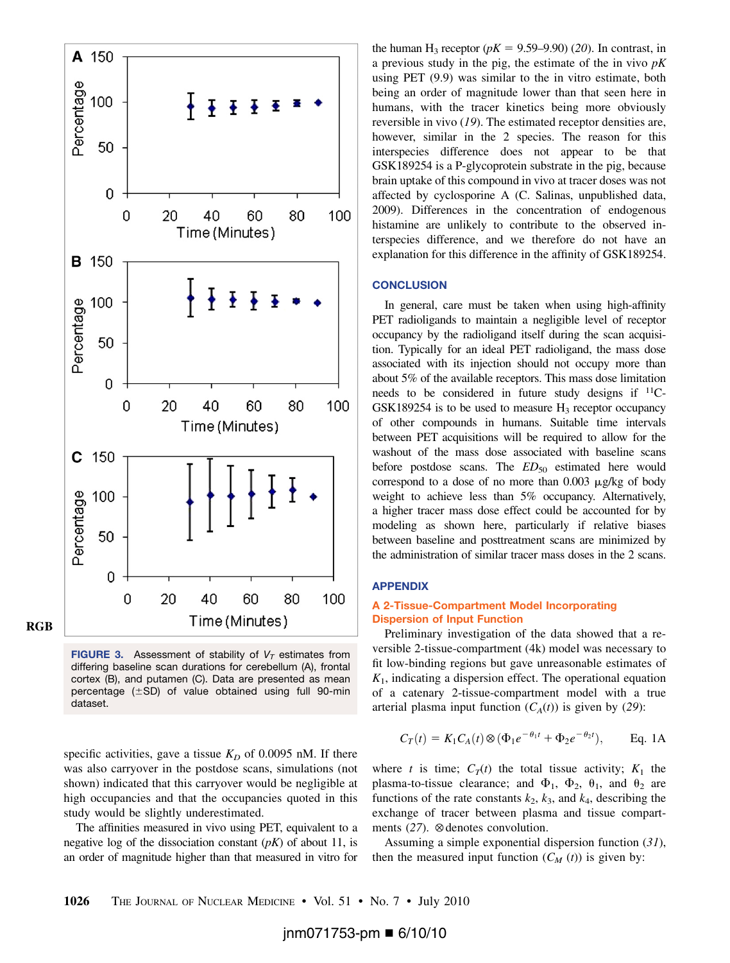

**FIGURE 3.** Assessment of stability of  $V_T$  estimates from differing baseline scan durations for cerebellum (A), frontal cortex (B), and putamen (C). Data are presented as mean percentage  $(\pm SD)$  of value obtained using full 90-min dataset.

specific activities, gave a tissue  $K_D$  of 0.0095 nM. If there was also carryover in the postdose scans, simulations (not shown) indicated that this carryover would be negligible at high occupancies and that the occupancies quoted in this study would be slightly underestimated.

The affinities measured in vivo using PET, equivalent to a negative log of the dissociation constant  $(pK)$  of about 11, is an order of magnitude higher than that measured in vitro for

the human H<sub>3</sub> receptor ( $pK = 9.59-9.90$ ) (20). In contrast, in a previous study in the pig, the estimate of the in vivo  $pK$ using PET (9.9) was similar to the in vitro estimate, both being an order of magnitude lower than that seen here in humans, with the tracer kinetics being more obviously reversible in vivo (19). The estimated receptor densities are, however, similar in the 2 species. The reason for this interspecies difference does not appear to be that GSK189254 is a P-glycoprotein substrate in the pig, because brain uptake of this compound in vivo at tracer doses was not affected by cyclosporine A (C. Salinas, unpublished data, 2009). Differences in the concentration of endogenous histamine are unlikely to contribute to the observed interspecies difference, and we therefore do not have an explanation for this difference in the affinity of GSK189254.

#### **CONCLUSION**

In general, care must be taken when using high-affinity PET radioligands to maintain a negligible level of receptor occupancy by the radioligand itself during the scan acquisition. Typically for an ideal PET radioligand, the mass dose associated with its injection should not occupy more than about 5% of the available receptors. This mass dose limitation needs to be considered in future study designs if  $^{11}C$ -GSK189254 is to be used to measure  $H_3$  receptor occupancy of other compounds in humans. Suitable time intervals between PET acquisitions will be required to allow for the washout of the mass dose associated with baseline scans before postdose scans. The  $ED_{50}$  estimated here would correspond to a dose of no more than  $0.003 \mu g/kg$  of body weight to achieve less than 5% occupancy. Alternatively, a higher tracer mass dose effect could be accounted for by modeling as shown here, particularly if relative biases between baseline and posttreatment scans are minimized by the administration of similar tracer mass doses in the 2 scans.

# APPENDIX

## A 2-Tissue-Compartment Model Incorporating Dispersion of Input Function

Preliminary investigation of the data showed that a reversible 2-tissue-compartment (4k) model was necessary to fit low-binding regions but gave unreasonable estimates of  $K<sub>1</sub>$ , indicating a dispersion effect. The operational equation of a catenary 2-tissue-compartment model with a true arterial plasma input function  $(C_A(t))$  is given by (29):

$$
C_T(t) = K_1 C_A(t) \otimes (\Phi_1 e^{-\theta_1 t} + \Phi_2 e^{-\theta_2 t}),
$$
 Eq. 1A

where t is time;  $C_T(t)$  the total tissue activity;  $K_1$  the plasma-to-tissue clearance; and  $\Phi_1$ ,  $\Phi_2$ ,  $\theta_1$ , and  $\theta_2$  are functions of the rate constants  $k_2$ ,  $k_3$ , and  $k_4$ , describing the exchange of tracer between plasma and tissue compartments  $(27)$ .  $\otimes$  denotes convolution.

Assuming a simple exponential dispersion function (31), then the measured input function  $(C_M(t))$  is given by:

 $jmm071753$ -pm ■ 6/10/10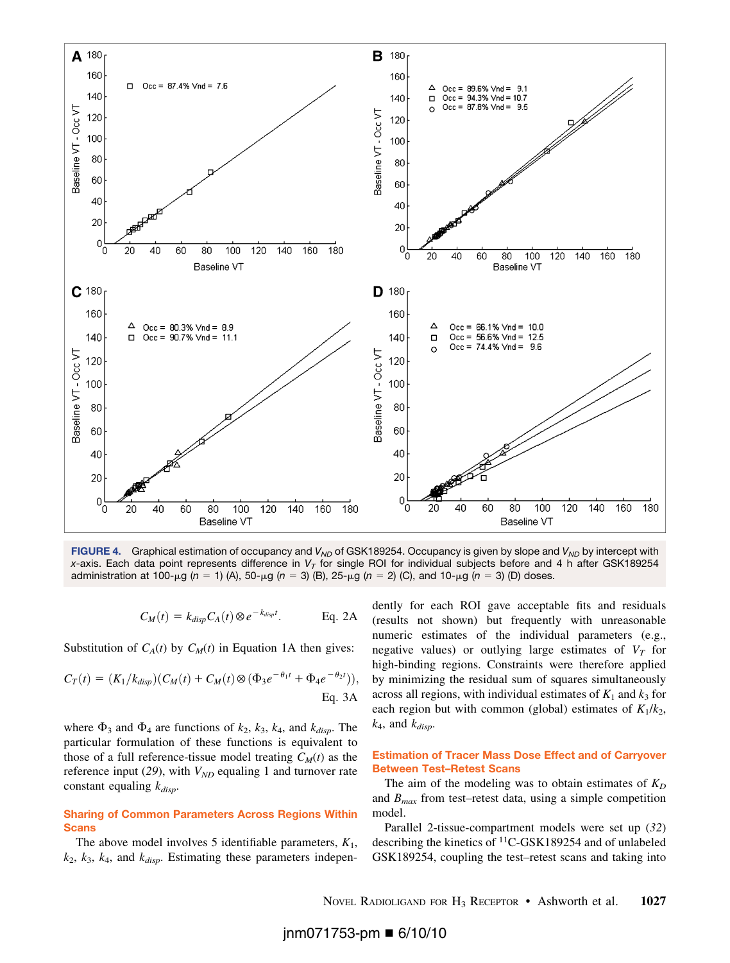

FIGURE 4. Graphical estimation of occupancy and *V<sub>ND</sub>* of GSK189254. Occupancy is given by slope and *V<sub>ND</sub>* by intercept with *x*-axis. Each data point represents difference in  $V<sub>T</sub>$  for single ROI for individual subjects before and 4 h after GSK189254 administration at 100-µg ( $n = 1$ ) (A), 50-µg ( $n = 3$ ) (B), 25-µg ( $n = 2$ ) (C), and 10-µg ( $n = 3$ ) (D) doses.

$$
C_M(t) = k_{disp} C_A(t) \otimes e^{-k_{disp}t}.
$$
 Eq. 2A

Substitution of  $C_A(t)$  by  $C_M(t)$  in Equation 1A then gives:

$$
C_T(t) = (K_1/k_{disp})(C_M(t) + C_M(t) \otimes (\Phi_3 e^{-\theta_1 t} + \Phi_4 e^{-\theta_2 t})),
$$
 Eq. 3A

where  $\Phi_3$  and  $\Phi_4$  are functions of  $k_2$ ,  $k_3$ ,  $k_4$ , and  $k_{disp}$ . The particular formulation of these functions is equivalent to those of a full reference-tissue model treating  $C_M(t)$  as the reference input (29), with  $V_{ND}$  equaling 1 and turnover rate constant equaling  $k_{disp}$ .

# Sharing of Common Parameters Across Regions Within **Scans**

The above model involves 5 identifiable parameters,  $K_1$ ,  $k_2$ ,  $k_3$ ,  $k_4$ , and  $k_{disp}$ . Estimating these parameters indepen-

dently for each ROI gave acceptable fits and residuals (results not shown) but frequently with unreasonable numeric estimates of the individual parameters (e.g., negative values) or outlying large estimates of  $V<sub>T</sub>$  for high-binding regions. Constraints were therefore applied by minimizing the residual sum of squares simultaneously across all regions, with individual estimates of  $K_1$  and  $k_3$  for each region but with common (global) estimates of  $K_1/k_2$ ,  $k_4$ , and  $k_{disp}$ .

# Estimation of Tracer Mass Dose Effect and of Carryover Between Test–Retest Scans

The aim of the modeling was to obtain estimates of  $K_D$ and  $B_{max}$  from test–retest data, using a simple competition model.

Parallel 2-tissue-compartment models were set up (32) describing the kinetics of 11C-GSK189254 and of unlabeled GSK189254, coupling the test–retest scans and taking into

NOVEL RADIOLIGAND FOR  $H_3$  RECEPTOR • Ashworth et al. 1027

 $jmm071753$ -pm ■ 6/10/10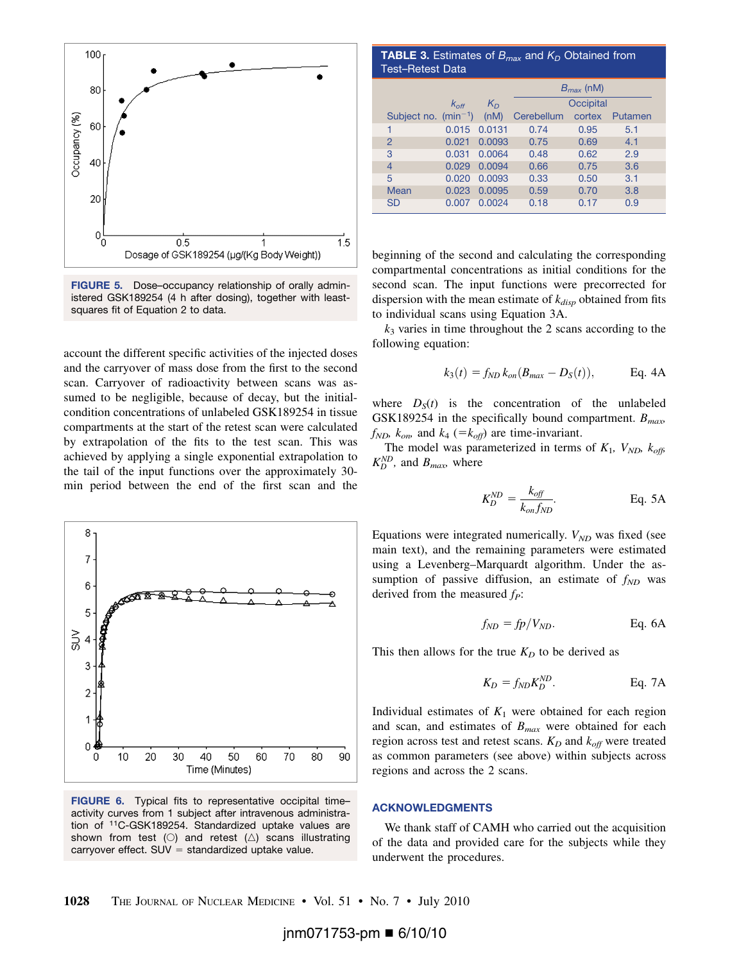

FIGURE 5. Dose–occupancy relationship of orally administered GSK189254 (4 h after dosing), together with leastsquares fit of Equation 2 to data.

account the different specific activities of the injected doses and the carryover of mass dose from the first to the second scan. Carryover of radioactivity between scans was assumed to be negligible, because of decay, but the initialcondition concentrations of unlabeled GSK189254 in tissue compartments at the start of the retest scan were calculated by extrapolation of the fits to the test scan. This was achieved by applying a single exponential extrapolation to the tail of the input functions over the approximately 30 min period between the end of the first scan and the



FIGURE 6. Typical fits to representative occipital timeactivity curves from 1 subject after intravenous administration of 11C-GSK189254. Standardized uptake values are shown from test ( $\circ$ ) and retest ( $\triangle$ ) scans illustrating carryover effect.  $SUV =$  standardized uptake value.

**TABLE 3.** Estimates of  $B_{max}$  and  $K_D$  Obtained from Test–Retest Data

|                               |                  |        | $B_{max}$ (nM) |        |         |  |
|-------------------------------|------------------|--------|----------------|--------|---------|--|
|                               | $K_{\text{off}}$ | $K_D$  | Occipital      |        |         |  |
| Subject no. $(min^{-1})$ (nM) |                  |        | Cerebellum     | cortex | Putamen |  |
| 1                             | 0.015            | 0.0131 | 0.74           | 0.95   | 5.1     |  |
| $\overline{2}$                | 0.021            | 0.0093 | 0.75           | 0.69   | 4.1     |  |
| 3                             | 0.031            | 0.0064 | 0.48           | 0.62   | 2.9     |  |
| 4                             | 0.029            | 0.0094 | 0.66           | 0.75   | 3.6     |  |
| 5                             | 0.020            | 0.0093 | 0.33           | 0.50   | 3.1     |  |
| Mean                          | 0.023            | 0.0095 | 0.59           | 0.70   | 3.8     |  |
| SD                            | 0.007            | 0.0024 | 0.18           | 0.17   | 0.9     |  |

beginning of the second and calculating the corresponding compartmental concentrations as initial conditions for the second scan. The input functions were precorrected for dispersion with the mean estimate of  $k_{disp}$  obtained from fits to individual scans using Equation 3A.

 $k_3$  varies in time throughout the 2 scans according to the following equation:

$$
k_3(t) = f_{ND} k_{on} (B_{max} - D_S(t)),
$$
 Eq. 4A

where  $D<sub>S</sub>(t)$  is the concentration of the unlabeled GSK189254 in the specifically bound compartment.  $B_{max}$  $f_{ND}$ ,  $k_{\text{on}}$ , and  $k_4$  (= $k_{\text{off}}$ ) are time-invariant.

The model was parameterized in terms of  $K_1$ ,  $V_{ND}$ ,  $k_{off}$ ,  $K_D^{ND}$ , and  $B_{max}$  where

$$
K_D^{ND} = \frac{k_{off}}{k_{on} f_{ND}}.
$$
 Eq. 5A

Equations were integrated numerically.  $V_{ND}$  was fixed (see main text), and the remaining parameters were estimated using a Levenberg–Marquardt algorithm. Under the assumption of passive diffusion, an estimate of  $f_{ND}$  was derived from the measured  $f_P$ :

$$
f_{ND} = fp/V_{ND}.
$$
 Eq. 6A

This then allows for the true  $K_D$  to be derived as

$$
K_D = f_{ND} K_D^{ND}.
$$
 Eq. 7A

Individual estimates of  $K_1$  were obtained for each region and scan, and estimates of  $B_{max}$  were obtained for each region across test and retest scans.  $K_D$  and  $k_{off}$  were treated as common parameters (see above) within subjects across regions and across the 2 scans.

#### ACKNOWLEDGMENTS

We thank staff of CAMH who carried out the acquisition of the data and provided care for the subjects while they underwent the procedures.

1028 THE JOURNAL OF NUCLEAR MEDICINE • Vol. 51 • No. 7 • July 2010